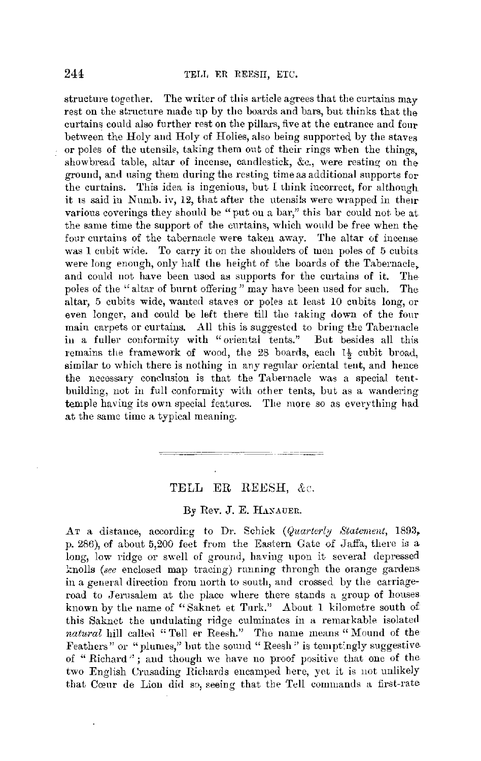structure together. The writer of this article agrees that the curtains  $\max$ rest on the structure made up by the boards and bars, but thinks that the curtains could also further rest on the pillars, five at the entrance and four between the Holy and Holy of Holies, also being supported by the staves or poles of the utensils, taking them out of their rings when the things showbread table, altar of incense, candlestick, &c., were resting on the ground, and using them during the resting time as additional supports for the curtains. This idea is ingenious, but I think incorrect, for although it 1s said in Numb. iv, 12, that after the utensils were wrapped in their various coverings they should be "put on a bar," this bar could not be at. the same time the support of the curtains, which would be free when the four curtains of the tabernade were taken away. The altar of incense was 1 cubit wide. To carry it on the shoulders of men poles of 5 cubits were long enough, only half the height of the boards of the Tabernacle, and could not have been used as supports for the curtains of it. The poles of the "altar of burnt offering" may have been used for such. The poles of the "altar of burnt offering" may have been used for such. altar, 5 cubits wide, wanted staves or poles at least 10 cubits long, or even longer, and could be left there till the taking down of the four main carpets or curtains. All this is suggested to bring the Tabernacle iu a fuller conformity with "orientai tents." But besides all this remains the framework of wood, the 28 boards, each 1½ cubit broad, similar to which there is nothing in any regular oriental tent, and hence the necessary conclusion is that the Tabernacle was a special tentbuilding, not in full conformity with other tents, but as a wandering temple having its own special features. The more so as everything had at the same time a typical meaning.

## TELL ER REESH, &c.

## By Rev. J. E. HANAUER.

AT a distance, according to Dr. Schick (Quarterly Statement, 1893, p. 286), of about 5,200 feet from the Eastern Gate of Jaffa, there is a long, low ridge or swell of ground, having upon it several depressed l:nolls *(see* enclosed map tracing) nmning through the orange gardens in a general direction from north to south, and crossed by the carriageroad to Jerusalem at the place where there stands a group of houses known by the name of "Saknet et Turk." About 1 kilometre south of this Saknct the undulating ridge culminates in a remarkable isolated natural hill called "Tell er Reesh." The name means "Mound of the Feathers" or "plumes," but the sound "Reesh" is temptingly suggestive of "Richard"; and though we have no proof positive that one of the two English Crnsading Richards encamped here, yet it is not unlikely that Cœur de Lion did so, seeing that the Tell commands a first-rate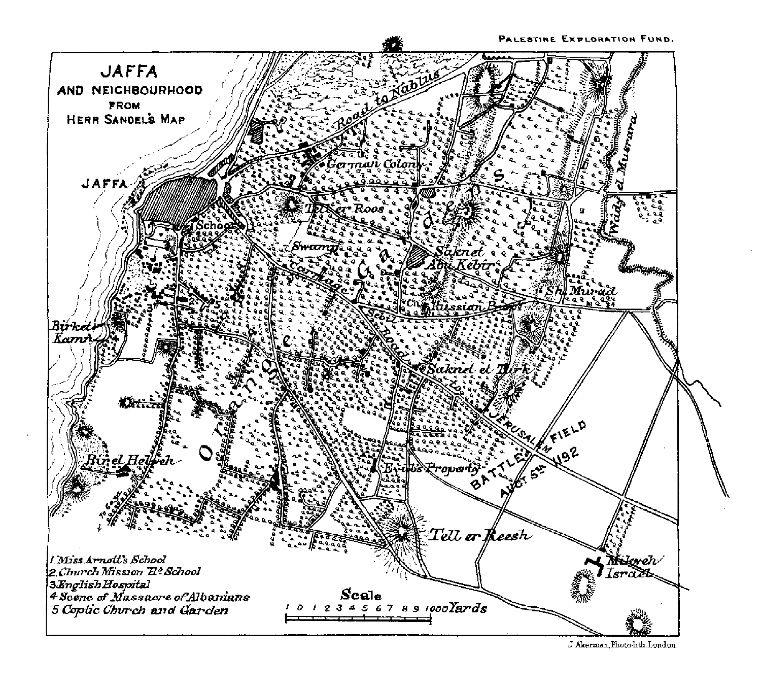

J. Akerman, Photo-lith. London.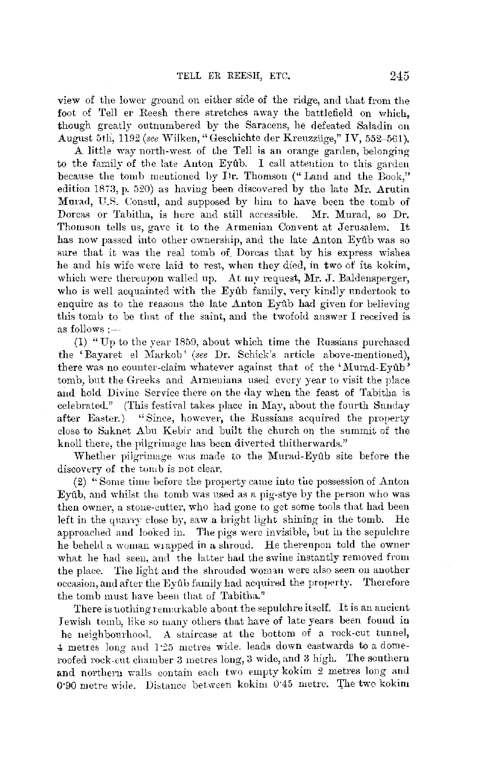view of the lower ground on either side of the ridge, and that from the foot of Tell er Reesh there stretches away the battlefield on which. though greatly outnumbered by the Saracens, he defeated Saladin on August 5th, 1192 *(see* V{ilken, "Geschichte der Krenzztige," IV, 552-561).

A little way north-west of the Tell is an orange garden, belonging to the family of the late Anton Eyub. I call attention to this garden because the tomb mentioned by Dr. Thomson (" Land and the Book," edition 1873, p. 520) as having been discovered by the late Mr. Arutin Murad, U.R. Consul, and supposed by him to have been the tomb of Dorcas or Tabitha, is here and still accessible. Mr. Murad, so Dr. Thomson tells us, gave it to the Armenian Convent at Jerusalem. It has now passed into other ownership, and the late Anton Eyub was so sure that it was the real tomb of Dorcas that by his express wishes he and his wife were laid to rest, when they died, in two of its kokim, which were thereupon walled up. At my request, Mr. J. Baldensperger, who is well acquainted with the Eyub family, very kindly undertook to enquire as to the reasons the late  $\Delta$ nton Eyûb had given for believing this tomb to be that of the saint, and the twofold answer I received is as follows :---

(1) "Up to the year 185G, about which time the Russians purchased the 'Bayaret el Markob' *(see Dr. Schick's article above-mentioned)*, there was no counter-claim whatever against that of the 'Murad-Eyub' tomb, but the Greeks and Armenians used every year to visit the place and hold Divine Service there on the day when the feast of Tabitha is celebrated." (This festival takes place in May, about the fourth Sunday after Easter.) "Since, however, the Russians acquired the property close to Saknet Abu Kebir and built the church on the summit of the knoll there, the pilgrimage has been diverted thitherwards."

Whether pilgrimage was made to the Murad-Eyub site before the discovery of the tomb is not clear.

(2) "Some time before the property came into the possession of Anton Eyûb, and whilst the tomb was used as a pig-stye by the person who was then owner, a stone-cutter, who had gone to get some tools that had been left in the quarry close by, saw a bright light shining in the tomb. He approached and looked in. The pigs were invisible, but in the sepulchre he beheld a woman wrapped in a shroud. He thereupon told the owner what he had seen, and the latter had the swine instantly removed from the plaee. The light aud the shrouded wonnn were also seen on auother occasion, and after the Eyub family had acquired the property. Therefore the tomb must have been that of Tabitha."

There is nothing remarkable about the sepulchre itself. It is an ancient Jewish tomb, like so many others that have of late years been found in he neighbourhood. A staircase at the bottom of a rock-cut tunnel, 4 metres long and 1.25 metres wide. leads down eastwards to a domeroofed rock-cut chamber 3 metres long, 3 wide, and 3 high. The sonthern and northern walls contain each two empty kokim 2 metres long and 0.90 metre wide. Distance between kokim 0.45 metre. The two kokim